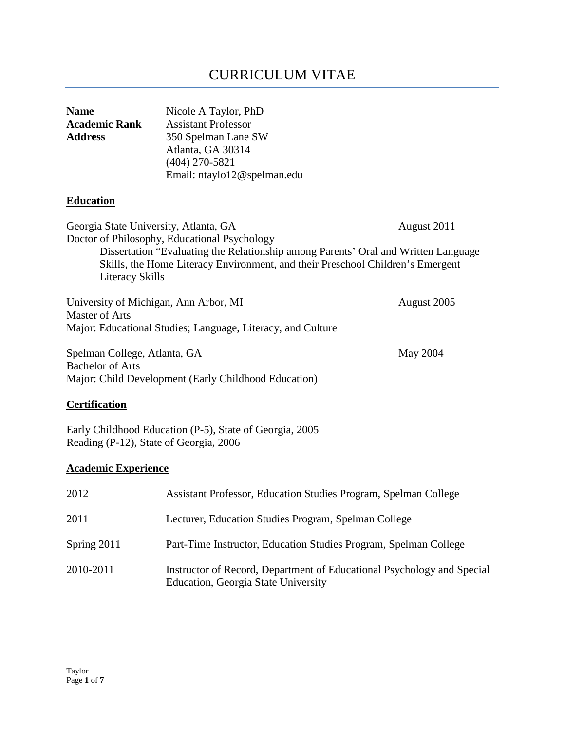# CURRICULUM VITAE

| <b>Name</b><br><b>Academic Rank</b><br><b>Address</b>                                                                         | Nicole A Taylor, PhD<br><b>Assistant Professor</b><br>350 Spelman Lane SW<br>Atlanta, GA 30314<br>$(404)$ 270-5821<br>Email: ntaylo12@spelman.edu                                                                    |             |
|-------------------------------------------------------------------------------------------------------------------------------|----------------------------------------------------------------------------------------------------------------------------------------------------------------------------------------------------------------------|-------------|
| <b>Education</b>                                                                                                              |                                                                                                                                                                                                                      |             |
| Georgia State University, Atlanta, GA<br><b>Literacy Skills</b>                                                               | Doctor of Philosophy, Educational Psychology<br>Dissertation "Evaluating the Relationship among Parents' Oral and Written Language<br>Skills, the Home Literacy Environment, and their Preschool Children's Emergent | August 2011 |
| University of Michigan, Ann Arbor, MI<br><b>Master of Arts</b><br>Major: Educational Studies; Language, Literacy, and Culture |                                                                                                                                                                                                                      | August 2005 |
| Spelman College, Atlanta, GA<br><b>Bachelor of Arts</b><br>Major: Child Development (Early Childhood Education)               |                                                                                                                                                                                                                      | May 2004    |
| <b>Certification</b>                                                                                                          |                                                                                                                                                                                                                      |             |
| Reading (P-12), State of Georgia, 2006                                                                                        | Early Childhood Education (P-5), State of Georgia, 2005                                                                                                                                                              |             |
| <b>Academic Experience</b>                                                                                                    |                                                                                                                                                                                                                      |             |
| 2012                                                                                                                          | Assistant Professor, Education Studies Program, Spelman College                                                                                                                                                      |             |
| 2011                                                                                                                          | Lecturer, Education Studies Program, Spelman College                                                                                                                                                                 |             |
| Spring 2011                                                                                                                   | Part-Time Instructor, Education Studies Program, Spelman College                                                                                                                                                     |             |

2010-2011 Instructor of Record, Department of Educational Psychology and Special Education, Georgia State University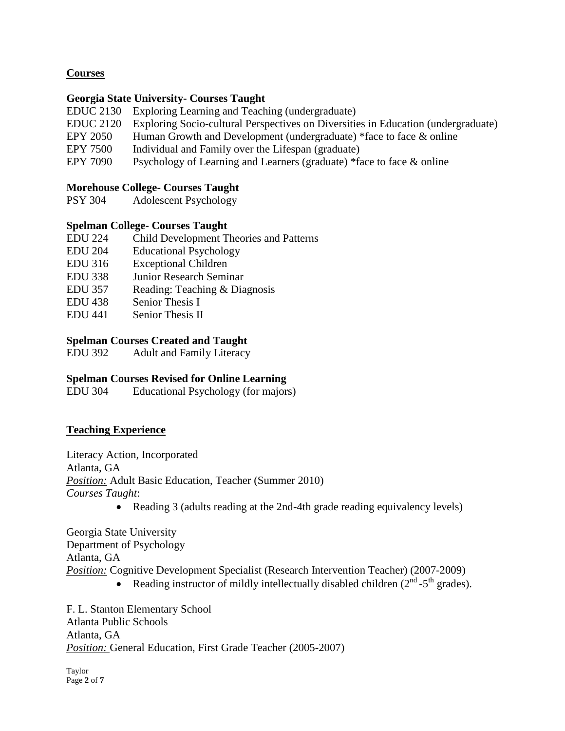# **Courses**

#### **Georgia State University- Courses Taught**

- EDUC 2130 Exploring Learning and Teaching (undergraduate)
- EDUC 2120 Exploring Socio-cultural Perspectives on Diversities in Education (undergraduate)
- EPY 2050 Human Growth and Development (undergraduate) \*face to face & online
- EPY 7500 Individual and Family over the Lifespan (graduate)
- EPY 7090 Psychology of Learning and Learners (graduate) \*face to face & online

#### **Morehouse College- Courses Taught**

PSY 304 Adolescent Psychology

#### **Spelman College- Courses Taught**

- EDU 224 Child Development Theories and Patterns
- EDU 204 Educational Psychology
- EDU 316 Exceptional Children
- EDU 338 Junior Research Seminar
- EDU 357 Reading: Teaching & Diagnosis
- EDU 438 Senior Thesis I
- EDU 441 Senior Thesis II

# **Spelman Courses Created and Taught**

EDU 392 Adult and Family Literacy

# **Spelman Courses Revised for Online Learning**<br>EDU 304 Educational Psychology (for maiors

Educational Psychology (for majors)

# **Teaching Experience**

Literacy Action, Incorporated Atlanta, GA *Position:* Adult Basic Education, Teacher (Summer 2010) *Courses Taught*:

• Reading 3 (adults reading at the 2nd-4th grade reading equivalency levels)

Georgia State University Department of Psychology Atlanta, GA *Position:* Cognitive Development Specialist (Research Intervention Teacher) (2007-2009)

• Reading instructor of mildly intellectually disabled children  $(2<sup>nd</sup> - 5<sup>th</sup>$  grades).

F. L. Stanton Elementary School Atlanta Public Schools Atlanta, GA *Position:* General Education, First Grade Teacher (2005-2007)

Taylor Page **2** of **7**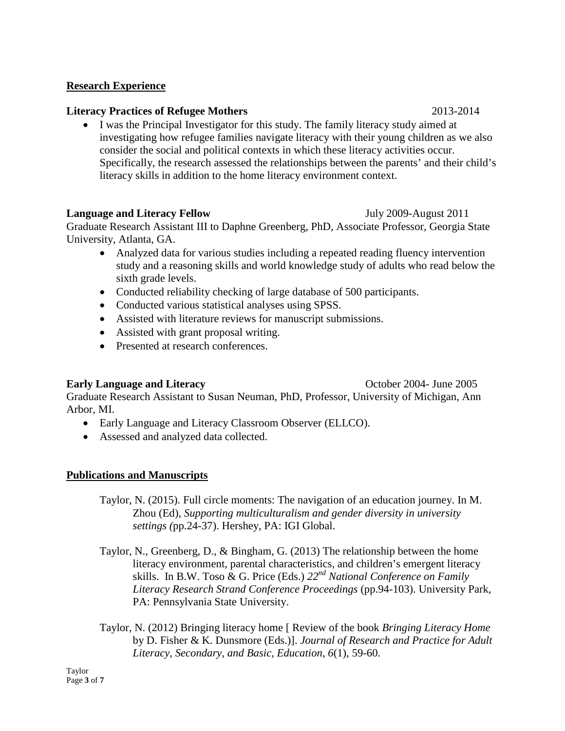#### **Research Experience**

#### **Literacy Practices of Refugee Mothers** 2013-2014

• I was the Principal Investigator for this study. The family literacy study aimed at investigating how refugee families navigate literacy with their young children as we also consider the social and political contexts in which these literacy activities occur. Specifically, the research assessed the relationships between the parents' and their child's literacy skills in addition to the home literacy environment context.

#### **Language and Literacy Fellow** July 2009-August 2011

Graduate Research Assistant III to Daphne Greenberg, PhD, Associate Professor, Georgia State University, Atlanta, GA.

- Analyzed data for various studies including a repeated reading fluency intervention study and a reasoning skills and world knowledge study of adults who read below the sixth grade levels.
- Conducted reliability checking of large database of 500 participants.
- Conducted various statistical analyses using SPSS.
- Assisted with literature reviews for manuscript submissions.
- Assisted with grant proposal writing.
- Presented at research conferences.

#### **Early Language and Literacy Constanting Community Constanting October 2004- June 2005**

Graduate Research Assistant to Susan Neuman, PhD, Professor, University of Michigan, Ann Arbor, MI.

- Early Language and Literacy Classroom Observer (ELLCO).
- Assessed and analyzed data collected.

#### **Publications and Manuscripts**

Taylor, N. (2015). Full circle moments: The navigation of an education journey. In M. Zhou (Ed), *Supporting multiculturalism and gender diversity in university settings (*pp.24-37). Hershey, PA: IGI Global.

- Taylor, N., Greenberg, D., & Bingham, G. (2013) The relationship between the home literacy environment, parental characteristics, and children's emergent literacy skills. In B.W. Toso & G. Price (Eds.) *22nd National Conference on Family Literacy Research Strand Conference Proceedings* (pp.94-103). University Park, PA: Pennsylvania State University.
- Taylor, N. (2012) Bringing literacy home [ Review of the book *Bringing Literacy Home* by D. Fisher & K. Dunsmore (Eds.)]. *Journal of Research and Practice for Adult Literacy, Secondary, and Basic, Education*, *6*(1), 59-60.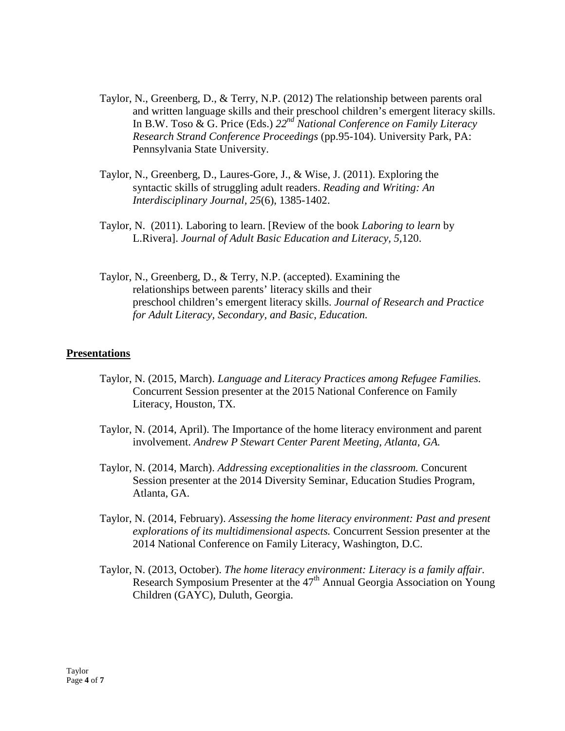- Taylor, N., Greenberg, D., & Terry, N.P. (2012) The relationship between parents oral and written language skills and their preschool children's emergent literacy skills. In B.W. Toso & G. Price (Eds.) *22nd National Conference on Family Literacy Research Strand Conference Proceedings* (pp.95-104). University Park, PA: Pennsylvania State University.
- Taylor, N., Greenberg, D., Laures-Gore, J., & Wise, J. (2011). Exploring the syntactic skills of struggling adult readers. *Reading and Writing: An Interdisciplinary Journal, 25*(6), 1385-1402.
- Taylor, N. (2011). Laboring to learn. [Review of the book *Laboring to learn* by L.Rivera]. *Journal of Adult Basic Education and Literacy, 5,*120.
- Taylor, N., Greenberg, D., & Terry, N.P. (accepted). Examining the relationships between parents' literacy skills and their preschool children's emergent literacy skills. *Journal of Research and Practice for Adult Literacy, Secondary, and Basic, Education.*

#### **Presentations**

- Taylor, N. (2015, March). *Language and Literacy Practices among Refugee Families.* Concurrent Session presenter at the 2015 National Conference on Family Literacy, Houston, TX.
- Taylor, N. (2014, April). The Importance of the home literacy environment and parent involvement. *Andrew P Stewart Center Parent Meeting, Atlanta, GA.*
- Taylor, N. (2014, March). *Addressing exceptionalities in the classroom.* Concurent Session presenter at the 2014 Diversity Seminar, Education Studies Program, Atlanta, GA.
- Taylor, N. (2014, February). *Assessing the home literacy environment: Past and present explorations of its multidimensional aspects.* Concurrent Session presenter at the 2014 National Conference on Family Literacy, Washington, D.C.
- Taylor, N. (2013, October). *The home literacy environment: Literacy is a family affair.* Research Symposium Presenter at the  $47<sup>th</sup>$  Annual Georgia Association on Young Children (GAYC), Duluth, Georgia.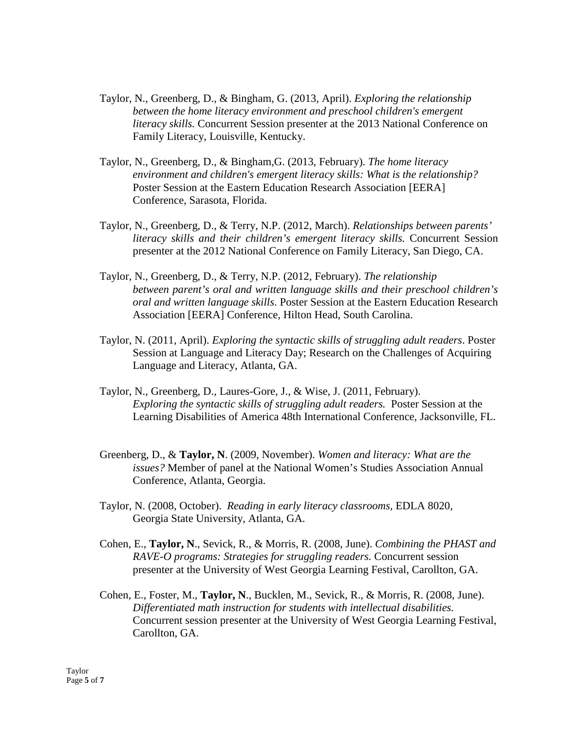- Taylor, N., Greenberg, D., & Bingham, G. (2013, April). *Exploring the relationship between the home literacy environment and preschool children's emergent literacy skills.* Concurrent Session presenter at the 2013 National Conference on Family Literacy, Louisville, Kentucky.
- Taylor, N., Greenberg, D., & Bingham,G. (2013, February). *The home literacy environment and children's emergent literacy skills: What is the relationship?* Poster Session at the Eastern Education Research Association [EERA] Conference, Sarasota, Florida.
- Taylor, N., Greenberg, D., & Terry, N.P. (2012, March). *Relationships between parents' literacy skills and their children's emergent literacy skills.* Concurrent Session presenter at the 2012 National Conference on Family Literacy, San Diego, CA.
- Taylor, N., Greenberg, D., & Terry, N.P. (2012, February). *The relationship between parent's oral and written language skills and their preschool children's oral and written language skills*. Poster Session at the Eastern Education Research Association [EERA] Conference, Hilton Head, South Carolina.
- Taylor, N. (2011, April). *Exploring the syntactic skills of struggling adult readers*. Poster Session at Language and Literacy Day; Research on the Challenges of Acquiring Language and Literacy, Atlanta, GA.
- Taylor, N., Greenberg, D., Laures-Gore, J., & Wise, J. (2011, February). *Exploring the syntactic skills of struggling adult readers.* Poster Session at the Learning Disabilities of America 48th International Conference, Jacksonville, FL.
- Greenberg, D., & **Taylor, N**. (2009, November). *Women and literacy: What are the issues?* Member of panel at the National Women's Studies Association Annual Conference, Atlanta, Georgia.
- Taylor, N. (2008, October). *Reading in early literacy classrooms,* EDLA 8020*,* Georgia State University, Atlanta, GA.
- Cohen, E., **Taylor, N**., Sevick, R., & Morris, R. (2008, June). *Combining the PHAST and RAVE-O programs: Strategies for struggling readers.* Concurrent session presenter at the University of West Georgia Learning Festival, Carollton, GA.
- Cohen, E., Foster, M., **Taylor, N**., Bucklen, M., Sevick, R., & Morris, R. (2008, June). *Differentiated math instruction for students with intellectual disabilities.* Concurrent session presenter at the University of West Georgia Learning Festival, Carollton, GA.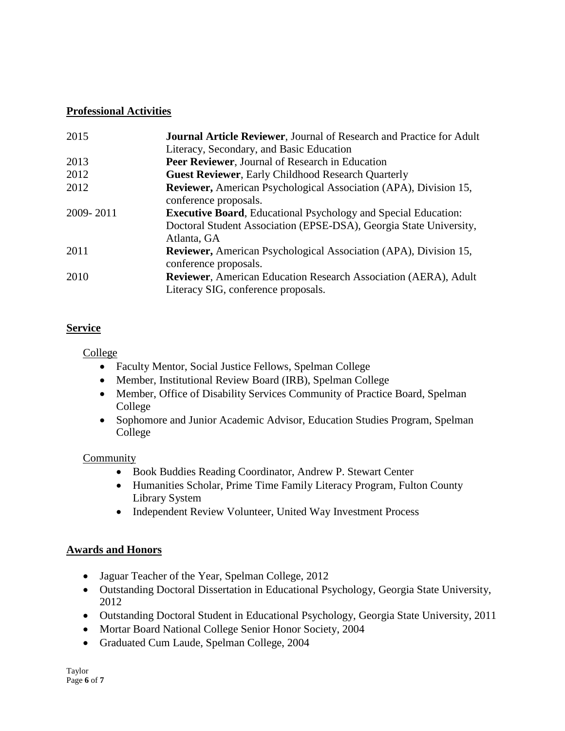# **Professional Activities**

| 2015      | <b>Journal Article Reviewer, Journal of Research and Practice for Adult</b> |  |  |
|-----------|-----------------------------------------------------------------------------|--|--|
|           | Literacy, Secondary, and Basic Education                                    |  |  |
| 2013      | Peer Reviewer, Journal of Research in Education                             |  |  |
| 2012      | <b>Guest Reviewer, Early Childhood Research Quarterly</b>                   |  |  |
| 2012      | Reviewer, American Psychological Association (APA), Division 15,            |  |  |
|           | conference proposals.                                                       |  |  |
| 2009-2011 | <b>Executive Board, Educational Psychology and Special Education:</b>       |  |  |
|           | Doctoral Student Association (EPSE-DSA), Georgia State University,          |  |  |
|           | Atlanta, GA                                                                 |  |  |
| 2011      | Reviewer, American Psychological Association (APA), Division 15,            |  |  |
|           | conference proposals.                                                       |  |  |
| 2010      | <b>Reviewer</b> , American Education Research Association (AERA), Adult     |  |  |
|           | Literacy SIG, conference proposals.                                         |  |  |

# **Service**

College

- Faculty Mentor, Social Justice Fellows, Spelman College
- Member, Institutional Review Board (IRB), Spelman College
- Member, Office of Disability Services Community of Practice Board, Spelman College
- Sophomore and Junior Academic Advisor, Education Studies Program, Spelman College

# Community

- Book Buddies Reading Coordinator, Andrew P. Stewart Center
- Humanities Scholar, Prime Time Family Literacy Program, Fulton County Library System
- Independent Review Volunteer, United Way Investment Process

# **Awards and Honors**

- Jaguar Teacher of the Year, Spelman College, 2012
- Outstanding Doctoral Dissertation in Educational Psychology, Georgia State University, 2012
- Outstanding Doctoral Student in Educational Psychology, Georgia State University, 2011
- Mortar Board National College Senior Honor Society, 2004
- Graduated Cum Laude, Spelman College, 2004